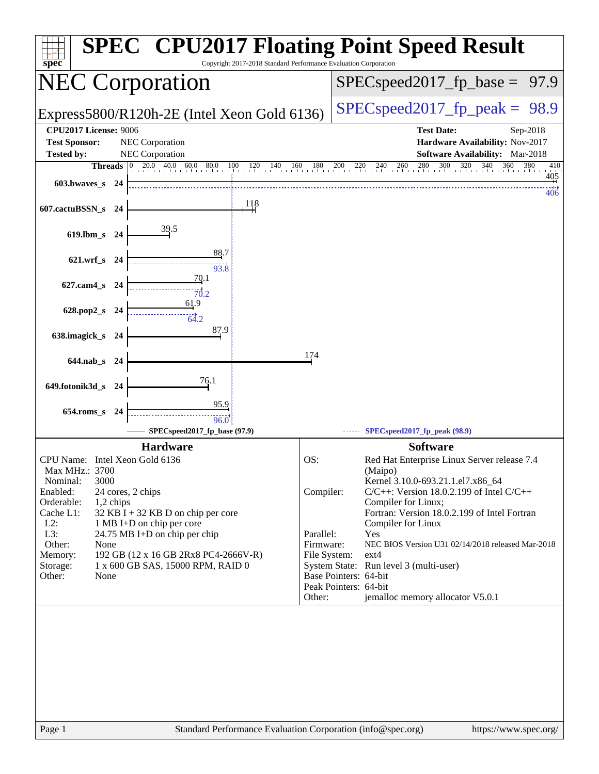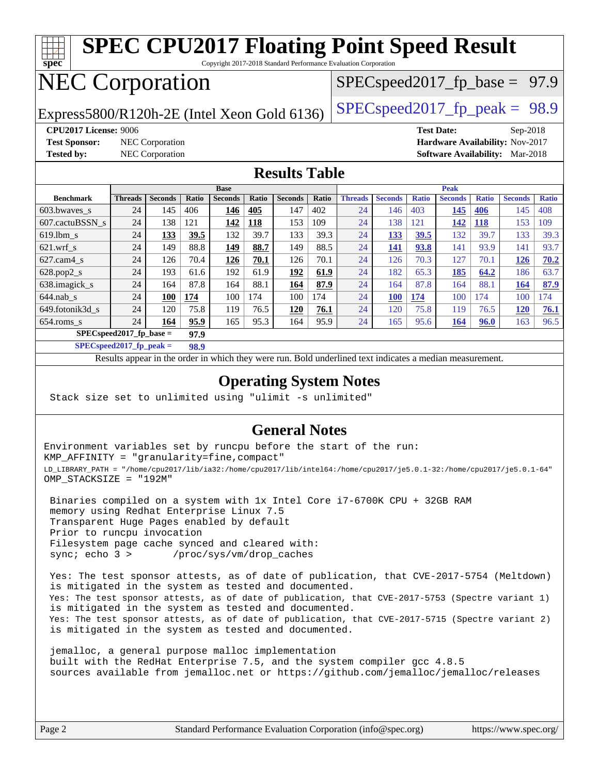| <b>SPEC CPU2017 Floating Point Speed Result</b><br>$\overline{\text{spec}^*}$<br>Copyright 2017-2018 Standard Performance Evaluation Corporation |                |                 |       |                |                                   |                      |                                  |                |                |              |                |              |                                        |              |
|--------------------------------------------------------------------------------------------------------------------------------------------------|----------------|-----------------|-------|----------------|-----------------------------------|----------------------|----------------------------------|----------------|----------------|--------------|----------------|--------------|----------------------------------------|--------------|
|                                                                                                                                                  |                |                 |       |                |                                   |                      |                                  |                |                |              |                |              |                                        |              |
| <b>NEC Corporation</b>                                                                                                                           |                |                 |       |                | $SPEC speed2017_f p\_base = 97.9$ |                      |                                  |                |                |              |                |              |                                        |              |
|                                                                                                                                                  |                |                 |       |                |                                   |                      |                                  |                |                |              |                |              |                                        |              |
|                                                                                                                                                  |                |                 |       |                |                                   |                      | $SPEC speed2017_fp\_peak = 98.9$ |                |                |              |                |              |                                        |              |
| Express5800/R120h-2E (Intel Xeon Gold 6136)                                                                                                      |                |                 |       |                |                                   |                      |                                  |                |                |              |                |              |                                        |              |
| <b>CPU2017 License: 9006</b><br><b>Test Date:</b><br>$Sep-2018$                                                                                  |                |                 |       |                |                                   |                      |                                  |                |                |              |                |              |                                        |              |
| <b>Test Sponsor:</b>                                                                                                                             |                | NEC Corporation |       |                |                                   |                      |                                  |                |                |              |                |              | Hardware Availability: Nov-2017        |              |
| <b>Tested by:</b>                                                                                                                                |                | NEC Corporation |       |                |                                   |                      |                                  |                |                |              |                |              | <b>Software Availability:</b> Mar-2018 |              |
|                                                                                                                                                  |                |                 |       |                |                                   | <b>Results Table</b> |                                  |                |                |              |                |              |                                        |              |
|                                                                                                                                                  |                |                 |       |                |                                   |                      |                                  |                |                |              |                |              |                                        |              |
| <b>Benchmark</b>                                                                                                                                 |                | <b>Seconds</b>  |       | <b>Base</b>    |                                   |                      |                                  |                | <b>Seconds</b> |              | Peak           |              |                                        |              |
|                                                                                                                                                  | <b>Threads</b> |                 | Ratio | <b>Seconds</b> | Ratio                             | <b>Seconds</b>       | Ratio                            | <b>Threads</b> |                | <b>Ratio</b> | <b>Seconds</b> | <b>Ratio</b> | <b>Seconds</b>                         | <b>Ratio</b> |
|                                                                                                                                                  |                |                 |       |                |                                   |                      |                                  |                |                |              |                |              |                                        |              |
| 603.bwaves_s                                                                                                                                     | 24             | 145             | 406   | 146            | 405                               | 147                  | 402                              | 24             | 146            | 403          | 145            | 406          | 145                                    | 408          |
| 607.cactuBSSN s                                                                                                                                  | 24             | 138             | 121   | 142            | 118                               | 153                  | 109                              | 24             | 138            | 121          | 142            | <b>118</b>   | 153                                    | 109          |
| $619.1$ bm s                                                                                                                                     | 24             | 133             | 39.5  | 132            | 39.7                              | 133                  | 39.3                             | 24             | 133            | 39.5         | 132            | 39.7         | 133                                    | 39.3         |
| $621$ .wrf s                                                                                                                                     | 24             | 149             | 88.8  | 149            | 88.7                              | 149                  | 88.5                             | 24             | 141            | 93.8         | 141            | 93.9         | 141                                    | 93.7         |
| 627.cam4 s                                                                                                                                       | 24             | 126             | 70.4  | 126            | 70.1                              | 126                  | 70.1                             | 24             | 126            | 70.3         | 127            | 70.1         | 126                                    | 70.2         |
| $628.pop2_s$                                                                                                                                     | 24             | 193             | 61.6  | 192            | 61.9                              | 192                  | 61.9                             | 24             | 182            | 65.3         | 185            | 64.2         | 186                                    | 63.7         |
| 638.imagick_s                                                                                                                                    | 24             | 164             | 87.8  | 164            | 88.1                              | 164                  | 87.9                             | 24             | 164            | 87.8         | 164            | 88.1         | <b>164</b>                             | 87.9         |
| $644$ .nab s                                                                                                                                     | 24             | <b>100</b>      | 174   | 100            | 174                               | 100                  | 174                              | 24             | <b>100</b>     | 174          | 100            | 174          | 100                                    | 174          |
| 649.fotonik3d_s                                                                                                                                  | 24             | 120             | 75.8  | 119            | 76.5                              | <b>120</b>           | 76.1                             | 24             | 120            | 75.8         | 119            | 76.5         | <b>120</b>                             | 76.1         |
| $654$ .roms s                                                                                                                                    | 24             | 164             | 95.9  | 165            | 95.3                              | 164                  | 95.9                             | 24             | 165            | 95.6         | 164            | 96.0         | 163                                    | 96.5         |

**[SPECspeed2017\\_fp\\_peak =](http://www.spec.org/auto/cpu2017/Docs/result-fields.html#SPECspeed2017fppeak) 98.9**

Results appear in the [order in which they were run.](http://www.spec.org/auto/cpu2017/Docs/result-fields.html#RunOrder) Bold underlined text [indicates a median measurement](http://www.spec.org/auto/cpu2017/Docs/result-fields.html#Median).

#### **[Operating System Notes](http://www.spec.org/auto/cpu2017/Docs/result-fields.html#OperatingSystemNotes)**

Stack size set to unlimited using "ulimit -s unlimited"

#### **[General Notes](http://www.spec.org/auto/cpu2017/Docs/result-fields.html#GeneralNotes)**

Environment variables set by runcpu before the start of the run: KMP\_AFFINITY = "granularity=fine,compact" LD\_LIBRARY\_PATH = "/home/cpu2017/lib/ia32:/home/cpu2017/lib/intel64:/home/cpu2017/je5.0.1-32:/home/cpu2017/je5.0.1-64" OMP\_STACKSIZE = "192M"

 Binaries compiled on a system with 1x Intel Core i7-6700K CPU + 32GB RAM memory using Redhat Enterprise Linux 7.5 Transparent Huge Pages enabled by default Prior to runcpu invocation Filesystem page cache synced and cleared with: sync; echo 3 > /proc/sys/vm/drop\_caches

 Yes: The test sponsor attests, as of date of publication, that CVE-2017-5754 (Meltdown) is mitigated in the system as tested and documented. Yes: The test sponsor attests, as of date of publication, that CVE-2017-5753 (Spectre variant 1) is mitigated in the system as tested and documented. Yes: The test sponsor attests, as of date of publication, that CVE-2017-5715 (Spectre variant 2) is mitigated in the system as tested and documented.

 jemalloc, a general purpose malloc implementation built with the RedHat Enterprise 7.5, and the system compiler gcc 4.8.5 sources available from jemalloc.net or <https://github.com/jemalloc/jemalloc/releases>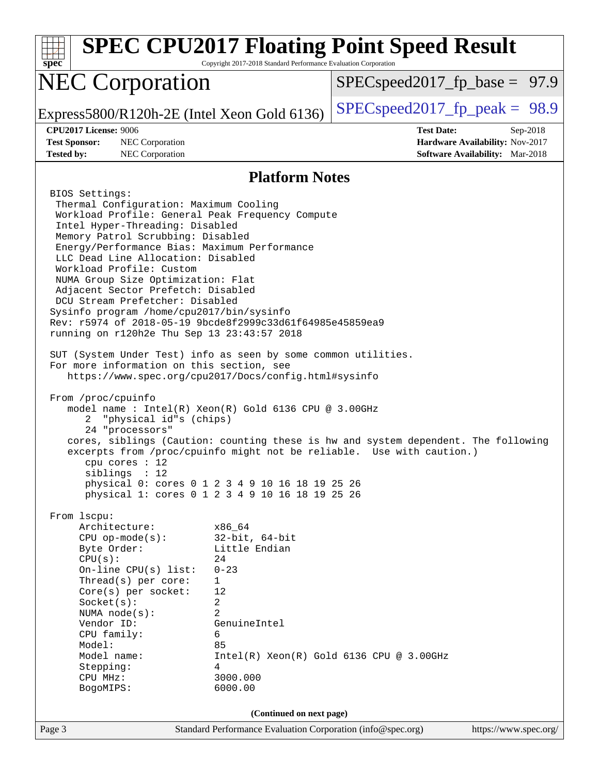| $spec^*$                                                                                                                                                                                                                                                                                                                                                                                                                                                                                                                                                                                                                                                                                                                                                   | Copyright 2017-2018 Standard Performance Evaluation Corporation                                                                               | <b>SPEC CPU2017 Floating Point Speed Result</b> |                                                                                       |
|------------------------------------------------------------------------------------------------------------------------------------------------------------------------------------------------------------------------------------------------------------------------------------------------------------------------------------------------------------------------------------------------------------------------------------------------------------------------------------------------------------------------------------------------------------------------------------------------------------------------------------------------------------------------------------------------------------------------------------------------------------|-----------------------------------------------------------------------------------------------------------------------------------------------|-------------------------------------------------|---------------------------------------------------------------------------------------|
| <b>NEC Corporation</b>                                                                                                                                                                                                                                                                                                                                                                                                                                                                                                                                                                                                                                                                                                                                     |                                                                                                                                               | $SPEC speed2017_f p\_base = 97.9$               |                                                                                       |
| Express5800/R120h-2E (Intel Xeon Gold 6136)                                                                                                                                                                                                                                                                                                                                                                                                                                                                                                                                                                                                                                                                                                                |                                                                                                                                               | $SPEC speed2017fr peak = 98.9$                  |                                                                                       |
| CPU2017 License: 9006<br><b>Test Sponsor:</b><br>NEC Corporation<br><b>Tested by:</b><br>NEC Corporation                                                                                                                                                                                                                                                                                                                                                                                                                                                                                                                                                                                                                                                   |                                                                                                                                               | <b>Test Date:</b>                               | Sep-2018<br>Hardware Availability: Nov-2017<br><b>Software Availability:</b> Mar-2018 |
|                                                                                                                                                                                                                                                                                                                                                                                                                                                                                                                                                                                                                                                                                                                                                            |                                                                                                                                               |                                                 |                                                                                       |
| BIOS Settings:                                                                                                                                                                                                                                                                                                                                                                                                                                                                                                                                                                                                                                                                                                                                             | <b>Platform Notes</b>                                                                                                                         |                                                 |                                                                                       |
| Thermal Configuration: Maximum Cooling<br>Workload Profile: General Peak Frequency Compute<br>Intel Hyper-Threading: Disabled<br>Memory Patrol Scrubbing: Disabled<br>Energy/Performance Bias: Maximum Performance<br>LLC Dead Line Allocation: Disabled<br>Workload Profile: Custom<br>NUMA Group Size Optimization: Flat<br>Adjacent Sector Prefetch: Disabled<br>DCU Stream Prefetcher: Disabled<br>Sysinfo program /home/cpu2017/bin/sysinfo<br>Rev: r5974 of 2018-05-19 9bcde8f2999c33d61f64985e45859ea9<br>running on r120h2e Thu Sep 13 23:43:57 2018<br>SUT (System Under Test) info as seen by some common utilities.<br>For more information on this section, see<br>https://www.spec.org/cpu2017/Docs/config.html#sysinfo<br>From /proc/cpuinfo |                                                                                                                                               |                                                 |                                                                                       |
| model name : Intel(R) Xeon(R) Gold 6136 CPU @ 3.00GHz<br>"physical id"s (chips)<br>2<br>24 "processors"<br>cores, siblings (Caution: counting these is hw and system dependent. The following<br>excerpts from /proc/cpuinfo might not be reliable. Use with caution.)<br>cpu cores $: 12$                                                                                                                                                                                                                                                                                                                                                                                                                                                                 |                                                                                                                                               |                                                 |                                                                                       |
| siblings : 12<br>physical 0: cores 0 1 2 3 4 9 10 16 18 19 25 26<br>physical 1: cores 0 1 2 3 4 9 10 16 18 19 25 26                                                                                                                                                                                                                                                                                                                                                                                                                                                                                                                                                                                                                                        |                                                                                                                                               |                                                 |                                                                                       |
| From 1scpu:<br>Architecture:<br>$CPU$ op-mode( $s$ ):<br>Byte Order:<br>CPU(s):<br>On-line $CPU(s)$ list:<br>Thread(s) per core:<br>Core(s) per socket:<br>Socket(s):<br>NUMA $node(s):$<br>Vendor ID:<br>CPU family:<br>Model:<br>Model name:<br>Stepping:<br>CPU MHz:<br>BogoMIPS:                                                                                                                                                                                                                                                                                                                                                                                                                                                                       | x86 64<br>$32$ -bit, $64$ -bit<br>Little Endian<br>24<br>$0 - 23$<br>1<br>12<br>2<br>2<br>GenuineIntel<br>6<br>85<br>4<br>3000.000<br>6000.00 | $Intel(R) Xeon(R) Gold 6136 CPU @ 3.00GHz$      |                                                                                       |
|                                                                                                                                                                                                                                                                                                                                                                                                                                                                                                                                                                                                                                                                                                                                                            | (Continued on next page)                                                                                                                      |                                                 |                                                                                       |
| Page 3                                                                                                                                                                                                                                                                                                                                                                                                                                                                                                                                                                                                                                                                                                                                                     | Standard Performance Evaluation Corporation (info@spec.org)                                                                                   |                                                 | https://www.spec.org/                                                                 |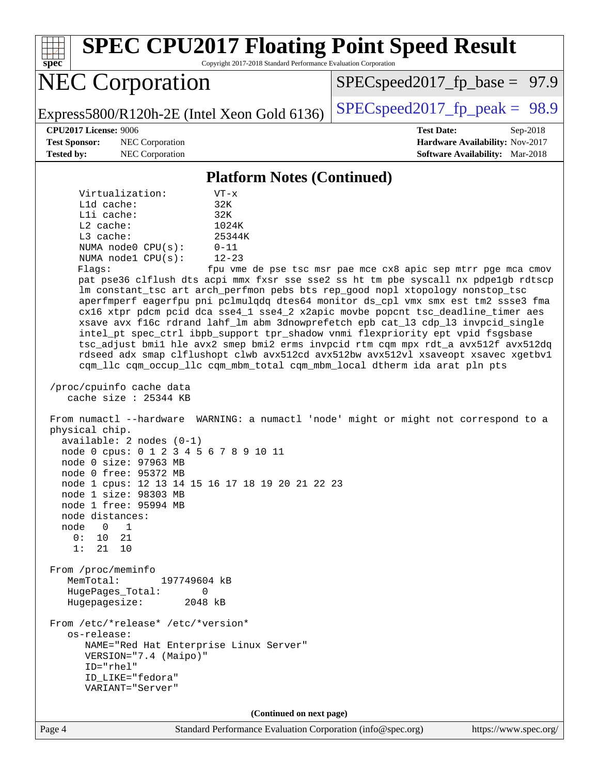| <b>SPEC CPU2017 Floating Point Speed Result</b><br>Copyright 2017-2018 Standard Performance Evaluation Corporation<br>spec <sup>®</sup>                                                                                                                                                                                                                                                                                                                                                                                                                                                                                                                                                                                                                                                                                                                                                                                                                                                                                                                                                                                                                                                                                                                                                                                                                                                                                                                                                                                                                                                                                                                                                                                                                     |                                                                                                            |
|-------------------------------------------------------------------------------------------------------------------------------------------------------------------------------------------------------------------------------------------------------------------------------------------------------------------------------------------------------------------------------------------------------------------------------------------------------------------------------------------------------------------------------------------------------------------------------------------------------------------------------------------------------------------------------------------------------------------------------------------------------------------------------------------------------------------------------------------------------------------------------------------------------------------------------------------------------------------------------------------------------------------------------------------------------------------------------------------------------------------------------------------------------------------------------------------------------------------------------------------------------------------------------------------------------------------------------------------------------------------------------------------------------------------------------------------------------------------------------------------------------------------------------------------------------------------------------------------------------------------------------------------------------------------------------------------------------------------------------------------------------------|------------------------------------------------------------------------------------------------------------|
| <b>NEC Corporation</b>                                                                                                                                                                                                                                                                                                                                                                                                                                                                                                                                                                                                                                                                                                                                                                                                                                                                                                                                                                                                                                                                                                                                                                                                                                                                                                                                                                                                                                                                                                                                                                                                                                                                                                                                      | $SPEC speed2017_f p\_base = 97.9$                                                                          |
| Express5800/R120h-2E (Intel Xeon Gold 6136)                                                                                                                                                                                                                                                                                                                                                                                                                                                                                                                                                                                                                                                                                                                                                                                                                                                                                                                                                                                                                                                                                                                                                                                                                                                                                                                                                                                                                                                                                                                                                                                                                                                                                                                 | $SPEC speed2017fp peak = 98.9$                                                                             |
| <b>CPU2017 License: 9006</b><br><b>Test Sponsor:</b><br>NEC Corporation<br><b>Tested by:</b><br>NEC Corporation                                                                                                                                                                                                                                                                                                                                                                                                                                                                                                                                                                                                                                                                                                                                                                                                                                                                                                                                                                                                                                                                                                                                                                                                                                                                                                                                                                                                                                                                                                                                                                                                                                             | <b>Test Date:</b><br>Sep-2018<br>Hardware Availability: Nov-2017<br><b>Software Availability:</b> Mar-2018 |
| <b>Platform Notes (Continued)</b>                                                                                                                                                                                                                                                                                                                                                                                                                                                                                                                                                                                                                                                                                                                                                                                                                                                                                                                                                                                                                                                                                                                                                                                                                                                                                                                                                                                                                                                                                                                                                                                                                                                                                                                           |                                                                                                            |
| Virtualization:<br>$VT - x$<br>32K<br>$L1d$ cache:<br>Lli cache:<br>32K<br>L2 cache:<br>1024K<br>L3 cache:<br>25344K<br>NUMA node0 CPU(s):<br>$0 - 11$<br>$12 - 23$<br>NUMA nodel CPU(s):<br>Flags:<br>pat pse36 clflush dts acpi mmx fxsr sse sse2 ss ht tm pbe syscall nx pdpelgb rdtscp<br>lm constant_tsc art arch_perfmon pebs bts rep_good nopl xtopology nonstop_tsc<br>aperfmperf eagerfpu pni pclmulqdq dtes64 monitor ds_cpl vmx smx est tm2 ssse3 fma<br>cx16 xtpr pdcm pcid dca sse4_1 sse4_2 x2apic movbe popcnt tsc_deadline_timer aes<br>xsave avx f16c rdrand lahf_lm abm 3dnowprefetch epb cat_13 cdp_13 invpcid_single<br>intel_pt spec_ctrl ibpb_support tpr_shadow vnmi flexpriority ept vpid fsgsbase<br>tsc_adjust bmil hle avx2 smep bmi2 erms invpcid rtm cqm mpx rdt_a avx512f avx512dq<br>rdseed adx smap clflushopt clwb avx512cd avx512bw avx512vl xsaveopt xsavec xgetbvl<br>cqm_llc cqm_occup_llc cqm_mbm_total cqm_mbm_local dtherm ida arat pln pts<br>/proc/cpuinfo cache data<br>cache size : 25344 KB<br>From numactl --hardware WARNING: a numactl 'node' might or might not correspond to a<br>physical chip.<br>$available: 2 nodes (0-1)$<br>node 0 cpus: 0 1 2 3 4 5 6 7 8 9 10 11<br>node 0 size: 97963 MB<br>node 0 free: 95372 MB<br>node 1 cpus: 12 13 14 15 16 17 18 19 20 21 22 23<br>node 1 size: 98303 MB<br>node 1 free: 95994 MB<br>node distances:<br>node<br>$\mathbf 0$<br>1<br>0 :<br>10<br>21<br>21<br>1:<br>10<br>From /proc/meminfo<br>MemTotal:<br>197749604 kB<br>HugePages_Total:<br>0<br>Hugepagesize:<br>2048 kB<br>From /etc/*release* /etc/*version*<br>os-release:<br>NAME="Red Hat Enterprise Linux Server"<br>VERSION="7.4 (Maipo)"<br>ID="rhel"<br>ID LIKE="fedora"<br>VARIANT="Server" | fpu vme de pse tsc msr pae mce cx8 apic sep mtrr pge mca cmov                                              |
| (Continued on next page)                                                                                                                                                                                                                                                                                                                                                                                                                                                                                                                                                                                                                                                                                                                                                                                                                                                                                                                                                                                                                                                                                                                                                                                                                                                                                                                                                                                                                                                                                                                                                                                                                                                                                                                                    |                                                                                                            |
| Page 4<br>Standard Performance Evaluation Corporation (info@spec.org)                                                                                                                                                                                                                                                                                                                                                                                                                                                                                                                                                                                                                                                                                                                                                                                                                                                                                                                                                                                                                                                                                                                                                                                                                                                                                                                                                                                                                                                                                                                                                                                                                                                                                       | https://www.spec.org/                                                                                      |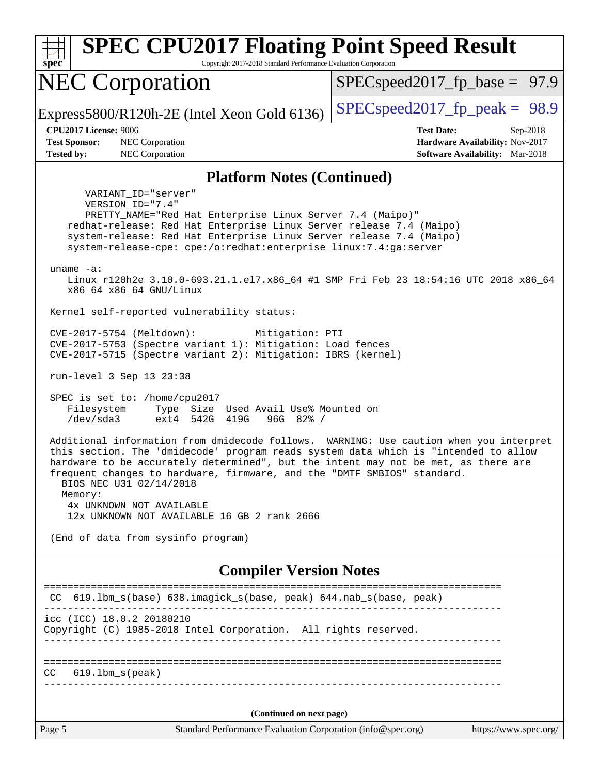| <b>SPEC CPU2017 Floating Point Speed Result</b><br>Copyright 2017-2018 Standard Performance Evaluation Corporation<br>$spec^*$                                                                                                                                                                                                                                                                                                                                  |                                                                                                            |  |  |  |  |  |
|-----------------------------------------------------------------------------------------------------------------------------------------------------------------------------------------------------------------------------------------------------------------------------------------------------------------------------------------------------------------------------------------------------------------------------------------------------------------|------------------------------------------------------------------------------------------------------------|--|--|--|--|--|
| <b>NEC Corporation</b>                                                                                                                                                                                                                                                                                                                                                                                                                                          | $SPEC speed2017_f p\_base = 97.9$                                                                          |  |  |  |  |  |
| Express5800/R120h-2E (Intel Xeon Gold 6136)                                                                                                                                                                                                                                                                                                                                                                                                                     | $SPEC speed2017_fp\_peak = 98.9$                                                                           |  |  |  |  |  |
| <b>CPU2017 License: 9006</b><br><b>Test Sponsor:</b><br>NEC Corporation<br><b>Tested by:</b><br>NEC Corporation                                                                                                                                                                                                                                                                                                                                                 | <b>Test Date:</b><br>Sep-2018<br>Hardware Availability: Nov-2017<br><b>Software Availability:</b> Mar-2018 |  |  |  |  |  |
| <b>Platform Notes (Continued)</b>                                                                                                                                                                                                                                                                                                                                                                                                                               |                                                                                                            |  |  |  |  |  |
| VARIANT ID="server"<br>VERSION_ID="7.4"<br>PRETTY_NAME="Red Hat Enterprise Linux Server 7.4 (Maipo)"<br>redhat-release: Red Hat Enterprise Linux Server release 7.4 (Maipo)<br>system-release: Red Hat Enterprise Linux Server release 7.4 (Maipo)<br>system-release-cpe: cpe:/o:redhat:enterprise_linux:7.4:ga:server<br>uname $-a$ :<br>Linux r120h2e 3.10.0-693.21.1.el7.x86_64 #1 SMP Fri Feb 23 18:54:16 UTC 2018 x86_64<br>x86_64 x86_64 GNU/Linux        |                                                                                                            |  |  |  |  |  |
| Kernel self-reported vulnerability status:                                                                                                                                                                                                                                                                                                                                                                                                                      |                                                                                                            |  |  |  |  |  |
| CVE-2017-5754 (Meltdown):<br>Mitigation: PTI<br>CVE-2017-5753 (Spectre variant 1): Mitigation: Load fences<br>CVE-2017-5715 (Spectre variant 2): Mitigation: IBRS (kernel)                                                                                                                                                                                                                                                                                      |                                                                                                            |  |  |  |  |  |
| run-level 3 Sep 13 23:38                                                                                                                                                                                                                                                                                                                                                                                                                                        |                                                                                                            |  |  |  |  |  |
| SPEC is set to: /home/cpu2017<br>Filesystem<br>Type Size Used Avail Use% Mounted on<br>/dev/sda3<br>ext4 542G 419G<br>$96G$ $82\frac{8}{7}$                                                                                                                                                                                                                                                                                                                     |                                                                                                            |  |  |  |  |  |
| Additional information from dmidecode follows. WARNING: Use caution when you interpret<br>this section. The 'dmidecode' program reads system data which is "intended to allow<br>hardware to be accurately determined", but the intent may not be met, as there are<br>frequent changes to hardware, firmware, and the "DMTF SMBIOS" standard.<br>BIOS NEC U31 02/14/2018<br>Memory:<br>4x UNKNOWN NOT AVAILABLE<br>12x UNKNOWN NOT AVAILABLE 16 GB 2 rank 2666 |                                                                                                            |  |  |  |  |  |
| (End of data from sysinfo program)                                                                                                                                                                                                                                                                                                                                                                                                                              |                                                                                                            |  |  |  |  |  |
| <b>Compiler Version Notes</b>                                                                                                                                                                                                                                                                                                                                                                                                                                   |                                                                                                            |  |  |  |  |  |
| CC 619.1bm_s(base) 638.imagick_s(base, peak) 644.nab_s(base, peak)                                                                                                                                                                                                                                                                                                                                                                                              | ================================                                                                           |  |  |  |  |  |
| icc (ICC) 18.0.2 20180210<br>Copyright (C) 1985-2018 Intel Corporation. All rights reserved.                                                                                                                                                                                                                                                                                                                                                                    |                                                                                                            |  |  |  |  |  |
| $619.1$ bm_s(peak)<br>CC                                                                                                                                                                                                                                                                                                                                                                                                                                        |                                                                                                            |  |  |  |  |  |
| (Continued on next page)                                                                                                                                                                                                                                                                                                                                                                                                                                        |                                                                                                            |  |  |  |  |  |
| Page 5<br>Standard Performance Evaluation Corporation (info@spec.org)                                                                                                                                                                                                                                                                                                                                                                                           | https://www.spec.org/                                                                                      |  |  |  |  |  |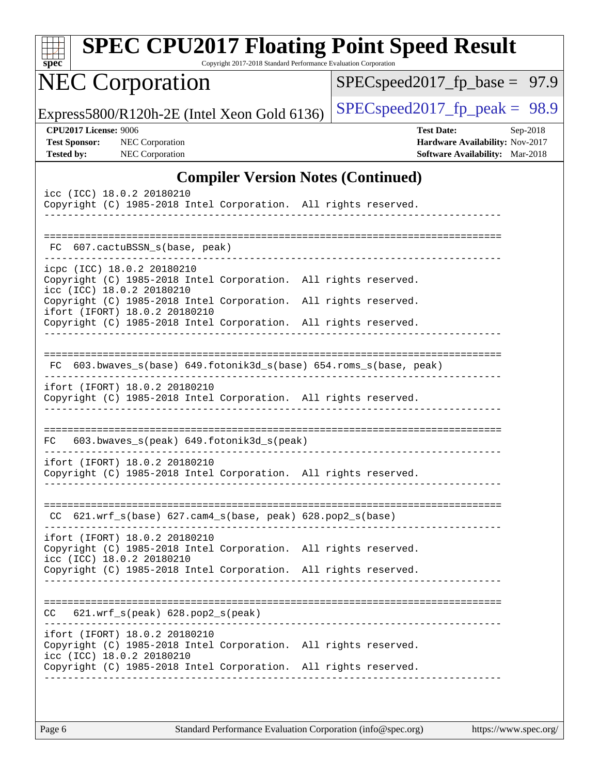| <b>SPEC CPU2017 Floating Point Speed Result</b><br>Copyright 2017-2018 Standard Performance Evaluation Corporation<br>$spec^*$ |                                                                                                                                                                     |                                           |  |  |                                |                   |                                                                           |          |
|--------------------------------------------------------------------------------------------------------------------------------|---------------------------------------------------------------------------------------------------------------------------------------------------------------------|-------------------------------------------|--|--|--------------------------------|-------------------|---------------------------------------------------------------------------|----------|
|                                                                                                                                | <b>NEC Corporation</b>                                                                                                                                              |                                           |  |  | $SPEC speed2017_fp\_base =$    |                   |                                                                           | 97.9     |
|                                                                                                                                | Express5800/R120h-2E (Intel Xeon Gold 6136)                                                                                                                         |                                           |  |  | $SPEC speed2017fp peak = 98.9$ |                   |                                                                           |          |
| <b>CPU2017 License: 9006</b><br><b>Test Sponsor:</b><br><b>Tested by:</b>                                                      | <b>NEC</b> Corporation<br>NEC Corporation                                                                                                                           |                                           |  |  |                                | <b>Test Date:</b> | Hardware Availability: Nov-2017<br><b>Software Availability:</b> Mar-2018 | Sep-2018 |
|                                                                                                                                |                                                                                                                                                                     | <b>Compiler Version Notes (Continued)</b> |  |  |                                |                   |                                                                           |          |
|                                                                                                                                | icc (ICC) 18.0.2 20180210<br>Copyright (C) 1985-2018 Intel Corporation. All rights reserved.                                                                        |                                           |  |  |                                |                   |                                                                           |          |
|                                                                                                                                | FC 607.cactuBSSN_s(base, peak)                                                                                                                                      |                                           |  |  |                                |                   |                                                                           |          |
|                                                                                                                                | icpc (ICC) 18.0.2 20180210<br>Copyright (C) 1985-2018 Intel Corporation. All rights reserved.<br>icc (ICC) 18.0.2 20180210                                          |                                           |  |  |                                |                   |                                                                           |          |
|                                                                                                                                | Copyright (C) 1985-2018 Intel Corporation. All rights reserved.<br>ifort (IFORT) 18.0.2 20180210<br>Copyright (C) 1985-2018 Intel Corporation. All rights reserved. |                                           |  |  |                                |                   |                                                                           |          |
| FC.                                                                                                                            | 603.bwaves_s(base) 649.fotonik3d_s(base) 654.roms_s(base, peak)                                                                                                     |                                           |  |  |                                |                   |                                                                           |          |
|                                                                                                                                | ifort (IFORT) 18.0.2 20180210<br>Copyright (C) 1985-2018 Intel Corporation. All rights reserved.                                                                    |                                           |  |  |                                |                   |                                                                           |          |
| FC.                                                                                                                            | 603.bwaves_s(peak) 649.fotonik3d_s(peak)                                                                                                                            |                                           |  |  |                                |                   |                                                                           |          |
|                                                                                                                                | ifort (IFORT) 18.0.2 20180210<br>Copyright (C) 1985-2018 Intel Corporation. All rights reserved.                                                                    | _____________________________________     |  |  |                                |                   |                                                                           |          |
|                                                                                                                                | CC 621.wrf_s(base) 627.cam4_s(base, peak) 628.pop2_s(base)                                                                                                          |                                           |  |  |                                |                   |                                                                           |          |
|                                                                                                                                | ifort (IFORT) 18.0.2 20180210<br>Copyright (C) 1985-2018 Intel Corporation. All rights reserved.<br>icc (ICC) 18.0.2 20180210                                       |                                           |  |  |                                |                   |                                                                           |          |
|                                                                                                                                | Copyright (C) 1985-2018 Intel Corporation. All rights reserved.                                                                                                     |                                           |  |  |                                |                   |                                                                           |          |
|                                                                                                                                | $CC$ $621.wrf_s(peak)$ $628.pop2_s(peak)$                                                                                                                           |                                           |  |  |                                |                   |                                                                           |          |
|                                                                                                                                | ifort (IFORT) 18.0.2 20180210<br>Copyright (C) 1985-2018 Intel Corporation. All rights reserved.<br>icc (ICC) 18.0.2 20180210                                       |                                           |  |  |                                |                   |                                                                           |          |
|                                                                                                                                | Copyright (C) 1985-2018 Intel Corporation. All rights reserved.                                                                                                     |                                           |  |  |                                |                   |                                                                           |          |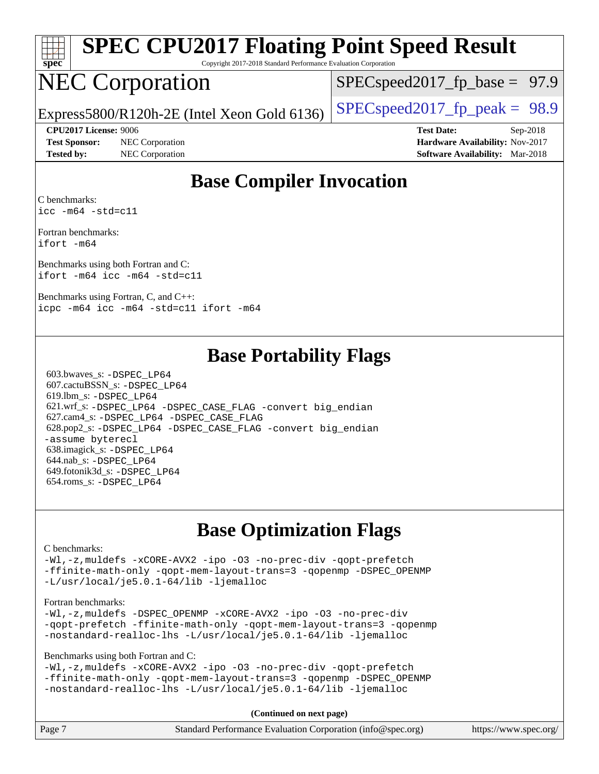| s | De | c |  |
|---|----|---|--|

# **[SPEC CPU2017 Floating Point Speed Result](http://www.spec.org/auto/cpu2017/Docs/result-fields.html#SPECCPU2017FloatingPointSpeedResult)**

Copyright 2017-2018 Standard Performance Evaluation Corporation

## NEC Corporation

 $SPECspeed2017_fp\_base = 97.9$ 

Express5800/R120h-2E (Intel Xeon Gold 6136)  $\left|$  [SPECspeed2017\\_fp\\_peak =](http://www.spec.org/auto/cpu2017/Docs/result-fields.html#SPECspeed2017fppeak) 98.9

**[Test Sponsor:](http://www.spec.org/auto/cpu2017/Docs/result-fields.html#TestSponsor)** NEC Corporation **[Hardware Availability:](http://www.spec.org/auto/cpu2017/Docs/result-fields.html#HardwareAvailability)** Nov-2017

**[CPU2017 License:](http://www.spec.org/auto/cpu2017/Docs/result-fields.html#CPU2017License)** 9006 **[Test Date:](http://www.spec.org/auto/cpu2017/Docs/result-fields.html#TestDate)** Sep-2018 **[Tested by:](http://www.spec.org/auto/cpu2017/Docs/result-fields.html#Testedby)** NEC Corporation **[Software Availability:](http://www.spec.org/auto/cpu2017/Docs/result-fields.html#SoftwareAvailability)** Mar-2018

#### **[Base Compiler Invocation](http://www.spec.org/auto/cpu2017/Docs/result-fields.html#BaseCompilerInvocation)**

[C benchmarks](http://www.spec.org/auto/cpu2017/Docs/result-fields.html#Cbenchmarks): [icc -m64 -std=c11](http://www.spec.org/cpu2017/results/res2018q4/cpu2017-20180917-08873.flags.html#user_CCbase_intel_icc_64bit_c11_33ee0cdaae7deeeab2a9725423ba97205ce30f63b9926c2519791662299b76a0318f32ddfffdc46587804de3178b4f9328c46fa7c2b0cd779d7a61945c91cd35)

[Fortran benchmarks:](http://www.spec.org/auto/cpu2017/Docs/result-fields.html#Fortranbenchmarks) [ifort -m64](http://www.spec.org/cpu2017/results/res2018q4/cpu2017-20180917-08873.flags.html#user_FCbase_intel_ifort_64bit_24f2bb282fbaeffd6157abe4f878425411749daecae9a33200eee2bee2fe76f3b89351d69a8130dd5949958ce389cf37ff59a95e7a40d588e8d3a57e0c3fd751)

[Benchmarks using both Fortran and C](http://www.spec.org/auto/cpu2017/Docs/result-fields.html#BenchmarksusingbothFortranandC): [ifort -m64](http://www.spec.org/cpu2017/results/res2018q4/cpu2017-20180917-08873.flags.html#user_CC_FCbase_intel_ifort_64bit_24f2bb282fbaeffd6157abe4f878425411749daecae9a33200eee2bee2fe76f3b89351d69a8130dd5949958ce389cf37ff59a95e7a40d588e8d3a57e0c3fd751) [icc -m64 -std=c11](http://www.spec.org/cpu2017/results/res2018q4/cpu2017-20180917-08873.flags.html#user_CC_FCbase_intel_icc_64bit_c11_33ee0cdaae7deeeab2a9725423ba97205ce30f63b9926c2519791662299b76a0318f32ddfffdc46587804de3178b4f9328c46fa7c2b0cd779d7a61945c91cd35)

[Benchmarks using Fortran, C, and C++](http://www.spec.org/auto/cpu2017/Docs/result-fields.html#BenchmarksusingFortranCandCXX): [icpc -m64](http://www.spec.org/cpu2017/results/res2018q4/cpu2017-20180917-08873.flags.html#user_CC_CXX_FCbase_intel_icpc_64bit_4ecb2543ae3f1412ef961e0650ca070fec7b7afdcd6ed48761b84423119d1bf6bdf5cad15b44d48e7256388bc77273b966e5eb805aefd121eb22e9299b2ec9d9) [icc -m64 -std=c11](http://www.spec.org/cpu2017/results/res2018q4/cpu2017-20180917-08873.flags.html#user_CC_CXX_FCbase_intel_icc_64bit_c11_33ee0cdaae7deeeab2a9725423ba97205ce30f63b9926c2519791662299b76a0318f32ddfffdc46587804de3178b4f9328c46fa7c2b0cd779d7a61945c91cd35) [ifort -m64](http://www.spec.org/cpu2017/results/res2018q4/cpu2017-20180917-08873.flags.html#user_CC_CXX_FCbase_intel_ifort_64bit_24f2bb282fbaeffd6157abe4f878425411749daecae9a33200eee2bee2fe76f3b89351d69a8130dd5949958ce389cf37ff59a95e7a40d588e8d3a57e0c3fd751)

#### **[Base Portability Flags](http://www.spec.org/auto/cpu2017/Docs/result-fields.html#BasePortabilityFlags)**

 603.bwaves\_s: [-DSPEC\\_LP64](http://www.spec.org/cpu2017/results/res2018q4/cpu2017-20180917-08873.flags.html#suite_basePORTABILITY603_bwaves_s_DSPEC_LP64) 607.cactuBSSN\_s: [-DSPEC\\_LP64](http://www.spec.org/cpu2017/results/res2018q4/cpu2017-20180917-08873.flags.html#suite_basePORTABILITY607_cactuBSSN_s_DSPEC_LP64) 619.lbm\_s: [-DSPEC\\_LP64](http://www.spec.org/cpu2017/results/res2018q4/cpu2017-20180917-08873.flags.html#suite_basePORTABILITY619_lbm_s_DSPEC_LP64) 621.wrf\_s: [-DSPEC\\_LP64](http://www.spec.org/cpu2017/results/res2018q4/cpu2017-20180917-08873.flags.html#suite_basePORTABILITY621_wrf_s_DSPEC_LP64) [-DSPEC\\_CASE\\_FLAG](http://www.spec.org/cpu2017/results/res2018q4/cpu2017-20180917-08873.flags.html#b621.wrf_s_baseCPORTABILITY_DSPEC_CASE_FLAG) [-convert big\\_endian](http://www.spec.org/cpu2017/results/res2018q4/cpu2017-20180917-08873.flags.html#user_baseFPORTABILITY621_wrf_s_convert_big_endian_c3194028bc08c63ac5d04de18c48ce6d347e4e562e8892b8bdbdc0214820426deb8554edfa529a3fb25a586e65a3d812c835984020483e7e73212c4d31a38223) 627.cam4\_s: [-DSPEC\\_LP64](http://www.spec.org/cpu2017/results/res2018q4/cpu2017-20180917-08873.flags.html#suite_basePORTABILITY627_cam4_s_DSPEC_LP64) [-DSPEC\\_CASE\\_FLAG](http://www.spec.org/cpu2017/results/res2018q4/cpu2017-20180917-08873.flags.html#b627.cam4_s_baseCPORTABILITY_DSPEC_CASE_FLAG) 628.pop2\_s: [-DSPEC\\_LP64](http://www.spec.org/cpu2017/results/res2018q4/cpu2017-20180917-08873.flags.html#suite_basePORTABILITY628_pop2_s_DSPEC_LP64) [-DSPEC\\_CASE\\_FLAG](http://www.spec.org/cpu2017/results/res2018q4/cpu2017-20180917-08873.flags.html#b628.pop2_s_baseCPORTABILITY_DSPEC_CASE_FLAG) [-convert big\\_endian](http://www.spec.org/cpu2017/results/res2018q4/cpu2017-20180917-08873.flags.html#user_baseFPORTABILITY628_pop2_s_convert_big_endian_c3194028bc08c63ac5d04de18c48ce6d347e4e562e8892b8bdbdc0214820426deb8554edfa529a3fb25a586e65a3d812c835984020483e7e73212c4d31a38223) [-assume byterecl](http://www.spec.org/cpu2017/results/res2018q4/cpu2017-20180917-08873.flags.html#user_baseFPORTABILITY628_pop2_s_assume_byterecl_7e47d18b9513cf18525430bbf0f2177aa9bf368bc7a059c09b2c06a34b53bd3447c950d3f8d6c70e3faf3a05c8557d66a5798b567902e8849adc142926523472) 638.imagick\_s: [-DSPEC\\_LP64](http://www.spec.org/cpu2017/results/res2018q4/cpu2017-20180917-08873.flags.html#suite_basePORTABILITY638_imagick_s_DSPEC_LP64) 644.nab\_s: [-DSPEC\\_LP64](http://www.spec.org/cpu2017/results/res2018q4/cpu2017-20180917-08873.flags.html#suite_basePORTABILITY644_nab_s_DSPEC_LP64) 649.fotonik3d\_s: [-DSPEC\\_LP64](http://www.spec.org/cpu2017/results/res2018q4/cpu2017-20180917-08873.flags.html#suite_basePORTABILITY649_fotonik3d_s_DSPEC_LP64) 654.roms\_s: [-DSPEC\\_LP64](http://www.spec.org/cpu2017/results/res2018q4/cpu2017-20180917-08873.flags.html#suite_basePORTABILITY654_roms_s_DSPEC_LP64)

#### **[Base Optimization Flags](http://www.spec.org/auto/cpu2017/Docs/result-fields.html#BaseOptimizationFlags)**

#### [C benchmarks](http://www.spec.org/auto/cpu2017/Docs/result-fields.html#Cbenchmarks):

[-Wl,-z,muldefs](http://www.spec.org/cpu2017/results/res2018q4/cpu2017-20180917-08873.flags.html#user_CCbase_link_force_multiple1_b4cbdb97b34bdee9ceefcfe54f4c8ea74255f0b02a4b23e853cdb0e18eb4525ac79b5a88067c842dd0ee6996c24547a27a4b99331201badda8798ef8a743f577) [-xCORE-AVX2](http://www.spec.org/cpu2017/results/res2018q4/cpu2017-20180917-08873.flags.html#user_CCbase_f-xCORE-AVX2) [-ipo](http://www.spec.org/cpu2017/results/res2018q4/cpu2017-20180917-08873.flags.html#user_CCbase_f-ipo) [-O3](http://www.spec.org/cpu2017/results/res2018q4/cpu2017-20180917-08873.flags.html#user_CCbase_f-O3) [-no-prec-div](http://www.spec.org/cpu2017/results/res2018q4/cpu2017-20180917-08873.flags.html#user_CCbase_f-no-prec-div) [-qopt-prefetch](http://www.spec.org/cpu2017/results/res2018q4/cpu2017-20180917-08873.flags.html#user_CCbase_f-qopt-prefetch) [-ffinite-math-only](http://www.spec.org/cpu2017/results/res2018q4/cpu2017-20180917-08873.flags.html#user_CCbase_f_finite_math_only_cb91587bd2077682c4b38af759c288ed7c732db004271a9512da14a4f8007909a5f1427ecbf1a0fb78ff2a814402c6114ac565ca162485bbcae155b5e4258871) [-qopt-mem-layout-trans=3](http://www.spec.org/cpu2017/results/res2018q4/cpu2017-20180917-08873.flags.html#user_CCbase_f-qopt-mem-layout-trans_de80db37974c74b1f0e20d883f0b675c88c3b01e9d123adea9b28688d64333345fb62bc4a798493513fdb68f60282f9a726aa07f478b2f7113531aecce732043) [-qopenmp](http://www.spec.org/cpu2017/results/res2018q4/cpu2017-20180917-08873.flags.html#user_CCbase_qopenmp_16be0c44f24f464004c6784a7acb94aca937f053568ce72f94b139a11c7c168634a55f6653758ddd83bcf7b8463e8028bb0b48b77bcddc6b78d5d95bb1df2967) [-DSPEC\\_OPENMP](http://www.spec.org/cpu2017/results/res2018q4/cpu2017-20180917-08873.flags.html#suite_CCbase_DSPEC_OPENMP) [-L/usr/local/je5.0.1-64/lib](http://www.spec.org/cpu2017/results/res2018q4/cpu2017-20180917-08873.flags.html#user_CCbase_jemalloc_link_path64_4b10a636b7bce113509b17f3bd0d6226c5fb2346b9178c2d0232c14f04ab830f976640479e5c33dc2bcbbdad86ecfb6634cbbd4418746f06f368b512fced5394) [-ljemalloc](http://www.spec.org/cpu2017/results/res2018q4/cpu2017-20180917-08873.flags.html#user_CCbase_jemalloc_link_lib_d1249b907c500fa1c0672f44f562e3d0f79738ae9e3c4a9c376d49f265a04b9c99b167ecedbf6711b3085be911c67ff61f150a17b3472be731631ba4d0471706)

#### [Fortran benchmarks](http://www.spec.org/auto/cpu2017/Docs/result-fields.html#Fortranbenchmarks):

[-Wl,-z,muldefs](http://www.spec.org/cpu2017/results/res2018q4/cpu2017-20180917-08873.flags.html#user_FCbase_link_force_multiple1_b4cbdb97b34bdee9ceefcfe54f4c8ea74255f0b02a4b23e853cdb0e18eb4525ac79b5a88067c842dd0ee6996c24547a27a4b99331201badda8798ef8a743f577) [-DSPEC\\_OPENMP](http://www.spec.org/cpu2017/results/res2018q4/cpu2017-20180917-08873.flags.html#suite_FCbase_DSPEC_OPENMP) [-xCORE-AVX2](http://www.spec.org/cpu2017/results/res2018q4/cpu2017-20180917-08873.flags.html#user_FCbase_f-xCORE-AVX2) [-ipo](http://www.spec.org/cpu2017/results/res2018q4/cpu2017-20180917-08873.flags.html#user_FCbase_f-ipo) [-O3](http://www.spec.org/cpu2017/results/res2018q4/cpu2017-20180917-08873.flags.html#user_FCbase_f-O3) [-no-prec-div](http://www.spec.org/cpu2017/results/res2018q4/cpu2017-20180917-08873.flags.html#user_FCbase_f-no-prec-div) [-qopt-prefetch](http://www.spec.org/cpu2017/results/res2018q4/cpu2017-20180917-08873.flags.html#user_FCbase_f-qopt-prefetch) [-ffinite-math-only](http://www.spec.org/cpu2017/results/res2018q4/cpu2017-20180917-08873.flags.html#user_FCbase_f_finite_math_only_cb91587bd2077682c4b38af759c288ed7c732db004271a9512da14a4f8007909a5f1427ecbf1a0fb78ff2a814402c6114ac565ca162485bbcae155b5e4258871) [-qopt-mem-layout-trans=3](http://www.spec.org/cpu2017/results/res2018q4/cpu2017-20180917-08873.flags.html#user_FCbase_f-qopt-mem-layout-trans_de80db37974c74b1f0e20d883f0b675c88c3b01e9d123adea9b28688d64333345fb62bc4a798493513fdb68f60282f9a726aa07f478b2f7113531aecce732043) [-qopenmp](http://www.spec.org/cpu2017/results/res2018q4/cpu2017-20180917-08873.flags.html#user_FCbase_qopenmp_16be0c44f24f464004c6784a7acb94aca937f053568ce72f94b139a11c7c168634a55f6653758ddd83bcf7b8463e8028bb0b48b77bcddc6b78d5d95bb1df2967) [-nostandard-realloc-lhs](http://www.spec.org/cpu2017/results/res2018q4/cpu2017-20180917-08873.flags.html#user_FCbase_f_2003_std_realloc_82b4557e90729c0f113870c07e44d33d6f5a304b4f63d4c15d2d0f1fab99f5daaed73bdb9275d9ae411527f28b936061aa8b9c8f2d63842963b95c9dd6426b8a) [-L/usr/local/je5.0.1-64/lib](http://www.spec.org/cpu2017/results/res2018q4/cpu2017-20180917-08873.flags.html#user_FCbase_jemalloc_link_path64_4b10a636b7bce113509b17f3bd0d6226c5fb2346b9178c2d0232c14f04ab830f976640479e5c33dc2bcbbdad86ecfb6634cbbd4418746f06f368b512fced5394) [-ljemalloc](http://www.spec.org/cpu2017/results/res2018q4/cpu2017-20180917-08873.flags.html#user_FCbase_jemalloc_link_lib_d1249b907c500fa1c0672f44f562e3d0f79738ae9e3c4a9c376d49f265a04b9c99b167ecedbf6711b3085be911c67ff61f150a17b3472be731631ba4d0471706)

[Benchmarks using both Fortran and C](http://www.spec.org/auto/cpu2017/Docs/result-fields.html#BenchmarksusingbothFortranandC):

[-Wl,-z,muldefs](http://www.spec.org/cpu2017/results/res2018q4/cpu2017-20180917-08873.flags.html#user_CC_FCbase_link_force_multiple1_b4cbdb97b34bdee9ceefcfe54f4c8ea74255f0b02a4b23e853cdb0e18eb4525ac79b5a88067c842dd0ee6996c24547a27a4b99331201badda8798ef8a743f577) [-xCORE-AVX2](http://www.spec.org/cpu2017/results/res2018q4/cpu2017-20180917-08873.flags.html#user_CC_FCbase_f-xCORE-AVX2) [-ipo](http://www.spec.org/cpu2017/results/res2018q4/cpu2017-20180917-08873.flags.html#user_CC_FCbase_f-ipo) [-O3](http://www.spec.org/cpu2017/results/res2018q4/cpu2017-20180917-08873.flags.html#user_CC_FCbase_f-O3) [-no-prec-div](http://www.spec.org/cpu2017/results/res2018q4/cpu2017-20180917-08873.flags.html#user_CC_FCbase_f-no-prec-div) [-qopt-prefetch](http://www.spec.org/cpu2017/results/res2018q4/cpu2017-20180917-08873.flags.html#user_CC_FCbase_f-qopt-prefetch) [-ffinite-math-only](http://www.spec.org/cpu2017/results/res2018q4/cpu2017-20180917-08873.flags.html#user_CC_FCbase_f_finite_math_only_cb91587bd2077682c4b38af759c288ed7c732db004271a9512da14a4f8007909a5f1427ecbf1a0fb78ff2a814402c6114ac565ca162485bbcae155b5e4258871) [-qopt-mem-layout-trans=3](http://www.spec.org/cpu2017/results/res2018q4/cpu2017-20180917-08873.flags.html#user_CC_FCbase_f-qopt-mem-layout-trans_de80db37974c74b1f0e20d883f0b675c88c3b01e9d123adea9b28688d64333345fb62bc4a798493513fdb68f60282f9a726aa07f478b2f7113531aecce732043) [-qopenmp](http://www.spec.org/cpu2017/results/res2018q4/cpu2017-20180917-08873.flags.html#user_CC_FCbase_qopenmp_16be0c44f24f464004c6784a7acb94aca937f053568ce72f94b139a11c7c168634a55f6653758ddd83bcf7b8463e8028bb0b48b77bcddc6b78d5d95bb1df2967) [-DSPEC\\_OPENMP](http://www.spec.org/cpu2017/results/res2018q4/cpu2017-20180917-08873.flags.html#suite_CC_FCbase_DSPEC_OPENMP) [-nostandard-realloc-lhs](http://www.spec.org/cpu2017/results/res2018q4/cpu2017-20180917-08873.flags.html#user_CC_FCbase_f_2003_std_realloc_82b4557e90729c0f113870c07e44d33d6f5a304b4f63d4c15d2d0f1fab99f5daaed73bdb9275d9ae411527f28b936061aa8b9c8f2d63842963b95c9dd6426b8a) [-L/usr/local/je5.0.1-64/lib](http://www.spec.org/cpu2017/results/res2018q4/cpu2017-20180917-08873.flags.html#user_CC_FCbase_jemalloc_link_path64_4b10a636b7bce113509b17f3bd0d6226c5fb2346b9178c2d0232c14f04ab830f976640479e5c33dc2bcbbdad86ecfb6634cbbd4418746f06f368b512fced5394) [-ljemalloc](http://www.spec.org/cpu2017/results/res2018q4/cpu2017-20180917-08873.flags.html#user_CC_FCbase_jemalloc_link_lib_d1249b907c500fa1c0672f44f562e3d0f79738ae9e3c4a9c376d49f265a04b9c99b167ecedbf6711b3085be911c67ff61f150a17b3472be731631ba4d0471706)

**(Continued on next page)**

| Page 7<br>Standard Performance Evaluation Corporation (info@spec.org) | https://www.spec.org/ |
|-----------------------------------------------------------------------|-----------------------|
|-----------------------------------------------------------------------|-----------------------|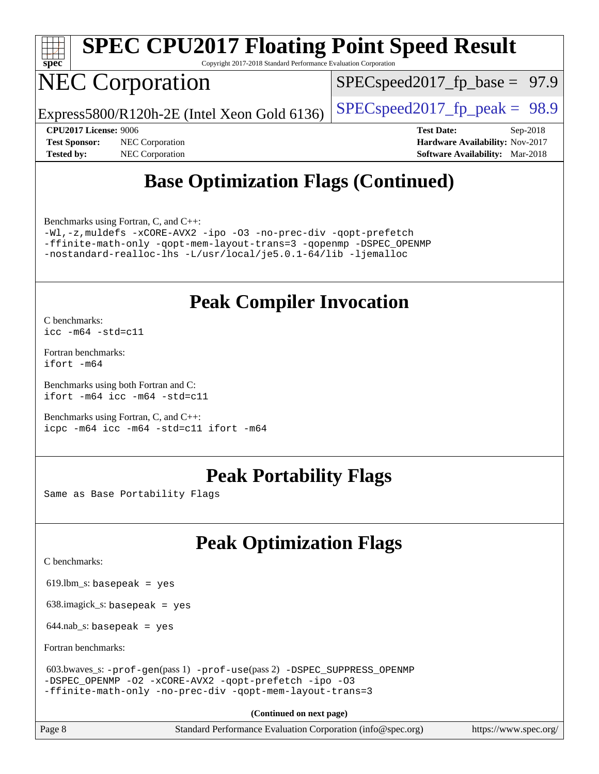

# **[SPEC CPU2017 Floating Point Speed Result](http://www.spec.org/auto/cpu2017/Docs/result-fields.html#SPECCPU2017FloatingPointSpeedResult)**

Copyright 2017-2018 Standard Performance Evaluation Corporation

## NEC Corporation

 $SPECspeed2017_fp\_base = 97.9$ 

Express5800/R120h-2E (Intel Xeon Gold 6136)  $\left|$  [SPECspeed2017\\_fp\\_peak =](http://www.spec.org/auto/cpu2017/Docs/result-fields.html#SPECspeed2017fppeak) 98.9

**[Tested by:](http://www.spec.org/auto/cpu2017/Docs/result-fields.html#Testedby)** NEC Corporation **[Software Availability:](http://www.spec.org/auto/cpu2017/Docs/result-fields.html#SoftwareAvailability)** Mar-2018

**[CPU2017 License:](http://www.spec.org/auto/cpu2017/Docs/result-fields.html#CPU2017License)** 9006 **[Test Date:](http://www.spec.org/auto/cpu2017/Docs/result-fields.html#TestDate)** Sep-2018 **[Test Sponsor:](http://www.spec.org/auto/cpu2017/Docs/result-fields.html#TestSponsor)** NEC Corporation **[Hardware Availability:](http://www.spec.org/auto/cpu2017/Docs/result-fields.html#HardwareAvailability)** Nov-2017

### **[Base Optimization Flags \(Continued\)](http://www.spec.org/auto/cpu2017/Docs/result-fields.html#BaseOptimizationFlags)**

[Benchmarks using Fortran, C, and C++:](http://www.spec.org/auto/cpu2017/Docs/result-fields.html#BenchmarksusingFortranCandCXX)

[-Wl,-z,muldefs](http://www.spec.org/cpu2017/results/res2018q4/cpu2017-20180917-08873.flags.html#user_CC_CXX_FCbase_link_force_multiple1_b4cbdb97b34bdee9ceefcfe54f4c8ea74255f0b02a4b23e853cdb0e18eb4525ac79b5a88067c842dd0ee6996c24547a27a4b99331201badda8798ef8a743f577) [-xCORE-AVX2](http://www.spec.org/cpu2017/results/res2018q4/cpu2017-20180917-08873.flags.html#user_CC_CXX_FCbase_f-xCORE-AVX2) [-ipo](http://www.spec.org/cpu2017/results/res2018q4/cpu2017-20180917-08873.flags.html#user_CC_CXX_FCbase_f-ipo) [-O3](http://www.spec.org/cpu2017/results/res2018q4/cpu2017-20180917-08873.flags.html#user_CC_CXX_FCbase_f-O3) [-no-prec-div](http://www.spec.org/cpu2017/results/res2018q4/cpu2017-20180917-08873.flags.html#user_CC_CXX_FCbase_f-no-prec-div) [-qopt-prefetch](http://www.spec.org/cpu2017/results/res2018q4/cpu2017-20180917-08873.flags.html#user_CC_CXX_FCbase_f-qopt-prefetch) [-ffinite-math-only](http://www.spec.org/cpu2017/results/res2018q4/cpu2017-20180917-08873.flags.html#user_CC_CXX_FCbase_f_finite_math_only_cb91587bd2077682c4b38af759c288ed7c732db004271a9512da14a4f8007909a5f1427ecbf1a0fb78ff2a814402c6114ac565ca162485bbcae155b5e4258871) [-qopt-mem-layout-trans=3](http://www.spec.org/cpu2017/results/res2018q4/cpu2017-20180917-08873.flags.html#user_CC_CXX_FCbase_f-qopt-mem-layout-trans_de80db37974c74b1f0e20d883f0b675c88c3b01e9d123adea9b28688d64333345fb62bc4a798493513fdb68f60282f9a726aa07f478b2f7113531aecce732043) [-qopenmp](http://www.spec.org/cpu2017/results/res2018q4/cpu2017-20180917-08873.flags.html#user_CC_CXX_FCbase_qopenmp_16be0c44f24f464004c6784a7acb94aca937f053568ce72f94b139a11c7c168634a55f6653758ddd83bcf7b8463e8028bb0b48b77bcddc6b78d5d95bb1df2967) [-DSPEC\\_OPENMP](http://www.spec.org/cpu2017/results/res2018q4/cpu2017-20180917-08873.flags.html#suite_CC_CXX_FCbase_DSPEC_OPENMP) [-nostandard-realloc-lhs](http://www.spec.org/cpu2017/results/res2018q4/cpu2017-20180917-08873.flags.html#user_CC_CXX_FCbase_f_2003_std_realloc_82b4557e90729c0f113870c07e44d33d6f5a304b4f63d4c15d2d0f1fab99f5daaed73bdb9275d9ae411527f28b936061aa8b9c8f2d63842963b95c9dd6426b8a) [-L/usr/local/je5.0.1-64/lib](http://www.spec.org/cpu2017/results/res2018q4/cpu2017-20180917-08873.flags.html#user_CC_CXX_FCbase_jemalloc_link_path64_4b10a636b7bce113509b17f3bd0d6226c5fb2346b9178c2d0232c14f04ab830f976640479e5c33dc2bcbbdad86ecfb6634cbbd4418746f06f368b512fced5394) [-ljemalloc](http://www.spec.org/cpu2017/results/res2018q4/cpu2017-20180917-08873.flags.html#user_CC_CXX_FCbase_jemalloc_link_lib_d1249b907c500fa1c0672f44f562e3d0f79738ae9e3c4a9c376d49f265a04b9c99b167ecedbf6711b3085be911c67ff61f150a17b3472be731631ba4d0471706)

#### **[Peak Compiler Invocation](http://www.spec.org/auto/cpu2017/Docs/result-fields.html#PeakCompilerInvocation)**

[C benchmarks](http://www.spec.org/auto/cpu2017/Docs/result-fields.html#Cbenchmarks): [icc -m64 -std=c11](http://www.spec.org/cpu2017/results/res2018q4/cpu2017-20180917-08873.flags.html#user_CCpeak_intel_icc_64bit_c11_33ee0cdaae7deeeab2a9725423ba97205ce30f63b9926c2519791662299b76a0318f32ddfffdc46587804de3178b4f9328c46fa7c2b0cd779d7a61945c91cd35)

[Fortran benchmarks](http://www.spec.org/auto/cpu2017/Docs/result-fields.html#Fortranbenchmarks): [ifort -m64](http://www.spec.org/cpu2017/results/res2018q4/cpu2017-20180917-08873.flags.html#user_FCpeak_intel_ifort_64bit_24f2bb282fbaeffd6157abe4f878425411749daecae9a33200eee2bee2fe76f3b89351d69a8130dd5949958ce389cf37ff59a95e7a40d588e8d3a57e0c3fd751)

[Benchmarks using both Fortran and C](http://www.spec.org/auto/cpu2017/Docs/result-fields.html#BenchmarksusingbothFortranandC): [ifort -m64](http://www.spec.org/cpu2017/results/res2018q4/cpu2017-20180917-08873.flags.html#user_CC_FCpeak_intel_ifort_64bit_24f2bb282fbaeffd6157abe4f878425411749daecae9a33200eee2bee2fe76f3b89351d69a8130dd5949958ce389cf37ff59a95e7a40d588e8d3a57e0c3fd751) [icc -m64 -std=c11](http://www.spec.org/cpu2017/results/res2018q4/cpu2017-20180917-08873.flags.html#user_CC_FCpeak_intel_icc_64bit_c11_33ee0cdaae7deeeab2a9725423ba97205ce30f63b9926c2519791662299b76a0318f32ddfffdc46587804de3178b4f9328c46fa7c2b0cd779d7a61945c91cd35)

[Benchmarks using Fortran, C, and C++:](http://www.spec.org/auto/cpu2017/Docs/result-fields.html#BenchmarksusingFortranCandCXX) [icpc -m64](http://www.spec.org/cpu2017/results/res2018q4/cpu2017-20180917-08873.flags.html#user_CC_CXX_FCpeak_intel_icpc_64bit_4ecb2543ae3f1412ef961e0650ca070fec7b7afdcd6ed48761b84423119d1bf6bdf5cad15b44d48e7256388bc77273b966e5eb805aefd121eb22e9299b2ec9d9) [icc -m64 -std=c11](http://www.spec.org/cpu2017/results/res2018q4/cpu2017-20180917-08873.flags.html#user_CC_CXX_FCpeak_intel_icc_64bit_c11_33ee0cdaae7deeeab2a9725423ba97205ce30f63b9926c2519791662299b76a0318f32ddfffdc46587804de3178b4f9328c46fa7c2b0cd779d7a61945c91cd35) [ifort -m64](http://www.spec.org/cpu2017/results/res2018q4/cpu2017-20180917-08873.flags.html#user_CC_CXX_FCpeak_intel_ifort_64bit_24f2bb282fbaeffd6157abe4f878425411749daecae9a33200eee2bee2fe76f3b89351d69a8130dd5949958ce389cf37ff59a95e7a40d588e8d3a57e0c3fd751)

#### **[Peak Portability Flags](http://www.spec.org/auto/cpu2017/Docs/result-fields.html#PeakPortabilityFlags)**

Same as Base Portability Flags

### **[Peak Optimization Flags](http://www.spec.org/auto/cpu2017/Docs/result-fields.html#PeakOptimizationFlags)**

[C benchmarks](http://www.spec.org/auto/cpu2017/Docs/result-fields.html#Cbenchmarks):

619.lbm\_s: basepeak = yes

638.imagick\_s: basepeak = yes

 $644$ .nab\_s: basepeak = yes

[Fortran benchmarks](http://www.spec.org/auto/cpu2017/Docs/result-fields.html#Fortranbenchmarks):

```
 603.bwaves_s: -prof-gen(pass 1) -prof-use(pass 2) -DSPEC_SUPPRESS_OPENMP
-DSPEC_OPENMP -O2 -xCORE-AVX2 -qopt-prefetch -ipo -O3
-ffinite-math-only -no-prec-div -qopt-mem-layout-trans=3
```
**(Continued on next page)**

Page 8 Standard Performance Evaluation Corporation [\(info@spec.org\)](mailto:info@spec.org) <https://www.spec.org/>